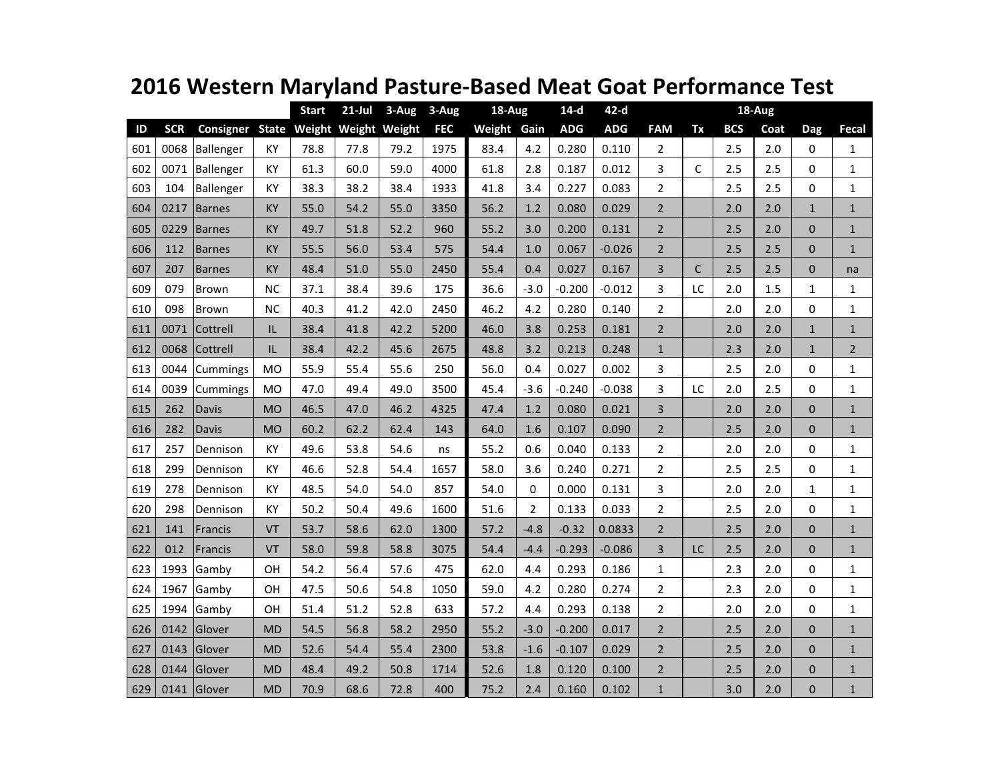|     |            |               |           | <b>Start</b>               | $21$ -Jul | $3 - Aug$ | 3-Aug      | 18-Aug      |                | $14-d$     | $42-d$     |                | 18-Aug |            |      |                |              |
|-----|------------|---------------|-----------|----------------------------|-----------|-----------|------------|-------------|----------------|------------|------------|----------------|--------|------------|------|----------------|--------------|
| ID  | <b>SCR</b> | Consigner     |           | State Weight Weight Weight |           |           | <b>FEC</b> | Weight Gain |                | <b>ADG</b> | <b>ADG</b> | <b>FAM</b>     | Tx     | <b>BCS</b> | Coat | Dag            | Fecal        |
| 601 | 0068       | Ballenger     | КY        | 78.8                       | 77.8      | 79.2      | 1975       | 83.4        | 4.2            | 0.280      | 0.110      | 2              |        | 2.5        | 2.0  | 0              | $\mathbf{1}$ |
| 602 | 0071       | Ballenger     | КY        | 61.3                       | 60.0      | 59.0      | 4000       | 61.8        | 2.8            | 0.187      | 0.012      | 3              | C      | 2.5        | 2.5  | 0              | $\mathbf{1}$ |
| 603 | 104        | Ballenger     | ΚY        | 38.3                       | 38.2      | 38.4      | 1933       | 41.8        | 3.4            | 0.227      | 0.083      | 2              |        | 2.5        | 2.5  | 0              | $\mathbf{1}$ |
| 604 | 0217       | <b>Barnes</b> | KY        | 55.0                       | 54.2      | 55.0      | 3350       | 56.2        | 1.2            | 0.080      | 0.029      | $\overline{2}$ |        | 2.0        | 2.0  | $\mathbf{1}$   | $\mathbf{1}$ |
| 605 | 0229       | <b>Barnes</b> | ΚY        | 49.7                       | 51.8      | 52.2      | 960        | 55.2        | 3.0            | 0.200      | 0.131      | $\overline{2}$ |        | 2.5        | 2.0  | $\Omega$       | $\mathbf{1}$ |
| 606 | 112        | <b>Barnes</b> | KY        | 55.5                       | 56.0      | 53.4      | 575        | 54.4        | 1.0            | 0.067      | $-0.026$   | $\overline{2}$ |        | 2.5        | 2.5  | $\Omega$       | $\mathbf{1}$ |
| 607 | 207        | <b>Barnes</b> | <b>KY</b> | 48.4                       | 51.0      | 55.0      | 2450       | 55.4        | 0.4            | 0.027      | 0.167      | 3              | C      | 2.5        | 2.5  | 0              | na           |
| 609 | 079        | <b>Brown</b>  | <b>NC</b> | 37.1                       | 38.4      | 39.6      | 175        | 36.6        | $-3.0$         | $-0.200$   | $-0.012$   | 3              | LC     | 2.0        | 1.5  | $\mathbf{1}$   | $\mathbf{1}$ |
| 610 | 098        | Brown         | <b>NC</b> | 40.3                       | 41.2      | 42.0      | 2450       | 46.2        | 4.2            | 0.280      | 0.140      | $\overline{2}$ |        | 2.0        | 2.0  | 0              | $\mathbf{1}$ |
| 611 | 0071       | Cottrell      | IL        | 38.4                       | 41.8      | 42.2      | 5200       | 46.0        | 3.8            | 0.253      | 0.181      | $\overline{2}$ |        | 2.0        | 2.0  | $\mathbf{1}$   | $\mathbf{1}$ |
| 612 | 0068       | Cottrell      | IL        | 38.4                       | 42.2      | 45.6      | 2675       | 48.8        | 3.2            | 0.213      | 0.248      | $\mathbf{1}$   |        | 2.3        | 2.0  | $\mathbf{1}$   | $2^{\circ}$  |
| 613 | 0044       | Cummings      | <b>MO</b> | 55.9                       | 55.4      | 55.6      | 250        | 56.0        | 0.4            | 0.027      | 0.002      | 3              |        | 2.5        | 2.0  | 0              | $\mathbf{1}$ |
| 614 | 0039       | Cummings      | MO        | 47.0                       | 49.4      | 49.0      | 3500       | 45.4        | $-3.6$         | $-0.240$   | $-0.038$   | 3              | LC     | 2.0        | 2.5  | 0              | 1            |
| 615 | 262        | Davis         | <b>MO</b> | 46.5                       | 47.0      | 46.2      | 4325       | 47.4        | 1.2            | 0.080      | 0.021      | 3              |        | 2.0        | 2.0  | 0              | $\mathbf{1}$ |
| 616 | 282        | Davis         | <b>MO</b> | 60.2                       | 62.2      | 62.4      | 143        | 64.0        | 1.6            | 0.107      | 0.090      | $\overline{2}$ |        | 2.5        | 2.0  | 0              | $\mathbf{1}$ |
| 617 | 257        | Dennison      | KY        | 49.6                       | 53.8      | 54.6      | ns         | 55.2        | 0.6            | 0.040      | 0.133      | $\overline{2}$ |        | $2.0\,$    | 2.0  | 0              | $\mathbf{1}$ |
| 618 | 299        | Dennison      | KY        | 46.6                       | 52.8      | 54.4      | 1657       | 58.0        | 3.6            | 0.240      | 0.271      | $\overline{2}$ |        | 2.5        | 2.5  | $\Omega$       | $\mathbf{1}$ |
| 619 | 278        | Dennison      | KY        | 48.5                       | 54.0      | 54.0      | 857        | 54.0        | 0              | 0.000      | 0.131      | 3              |        | 2.0        | 2.0  | 1              | $\mathbf{1}$ |
| 620 | 298        | Dennison      | KY        | 50.2                       | 50.4      | 49.6      | 1600       | 51.6        | $\overline{2}$ | 0.133      | 0.033      | $\overline{2}$ |        | 2.5        | 2.0  | 0              | $\mathbf{1}$ |
| 621 | 141        | Francis       | <b>VT</b> | 53.7                       | 58.6      | 62.0      | 1300       | 57.2        | $-4.8$         | $-0.32$    | 0.0833     | $\overline{2}$ |        | 2.5        | 2.0  | $\Omega$       | $\mathbf{1}$ |
| 622 | 012        | Francis       | VT        | 58.0                       | 59.8      | 58.8      | 3075       | 54.4        | $-4.4$         | $-0.293$   | $-0.086$   | 3              | LC     | 2.5        | 2.0  | $\Omega$       | $\mathbf{1}$ |
| 623 | 1993       | Gamby         | OН        | 54.2                       | 56.4      | 57.6      | 475        | 62.0        | 4.4            | 0.293      | 0.186      | 1              |        | 2.3        | 2.0  | 0              | $\mathbf{1}$ |
| 624 | 1967       | Gamby         | OН        | 47.5                       | 50.6      | 54.8      | 1050       | 59.0        | 4.2            | 0.280      | 0.274      | 2              |        | 2.3        | 2.0  | 0              | $\mathbf{1}$ |
| 625 | 1994       | Gamby         | OH        | 51.4                       | 51.2      | 52.8      | 633        | 57.2        | 4.4            | 0.293      | 0.138      | $\overline{2}$ |        | 2.0        | 2.0  | $\Omega$       | $\mathbf{1}$ |
| 626 | 0142       | Glover        | <b>MD</b> | 54.5                       | 56.8      | 58.2      | 2950       | 55.2        | $-3.0$         | $-0.200$   | 0.017      | $\overline{2}$ |        | 2.5        | 2.0  | 0              | $\mathbf{1}$ |
| 627 | 0143       | Glover        | <b>MD</b> | 52.6                       | 54.4      | 55.4      | 2300       | 53.8        | $-1.6$         | $-0.107$   | 0.029      | $\overline{2}$ |        | 2.5        | 2.0  | $\Omega$       | $\mathbf{1}$ |
| 628 | 0144       | Glover        | <b>MD</b> | 48.4                       | 49.2      | 50.8      | 1714       | 52.6        | 1.8            | 0.120      | 0.100      | $\overline{2}$ |        | 2.5        | 2.0  | 0              | $\mathbf{1}$ |
| 629 |            | $0141$ Glover | <b>MD</b> | 70.9                       | 68.6      | 72.8      | 400        | 75.2        | 2.4            | 0.160      | 0.102      | $\mathbf{1}$   |        | 3.0        | 2.0  | $\overline{0}$ | $\mathbf{1}$ |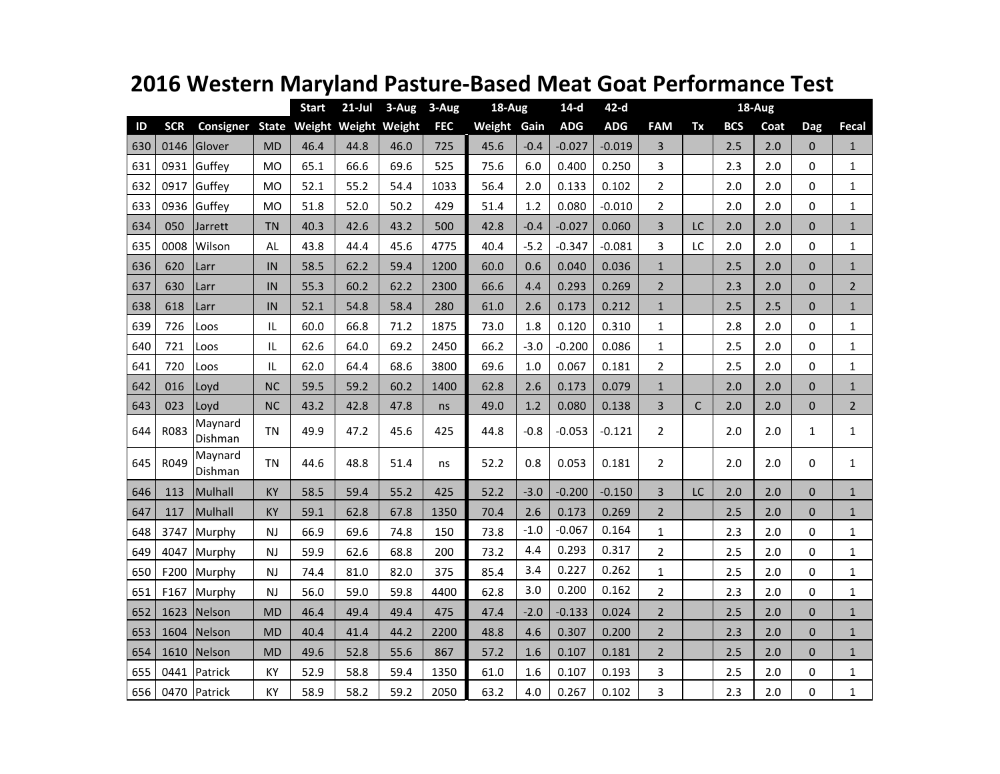|     |            |                        |           | <b>Start</b>         | $21$ -Jul | 3-Aug | 3-Aug      | $18 - Aug$  |        | $14-d$     | $42-d$     |                | $18-Aug$ |            |      |              |                |
|-----|------------|------------------------|-----------|----------------------|-----------|-------|------------|-------------|--------|------------|------------|----------------|----------|------------|------|--------------|----------------|
| ID  | <b>SCR</b> | <b>Consigner State</b> |           | Weight Weight Weight |           |       | <b>FEC</b> | Weight Gain |        | <b>ADG</b> | <b>ADG</b> | <b>FAM</b>     | Tx       | <b>BCS</b> | Coat | <b>Dag</b>   | Fecal          |
| 630 | 0146       | Glover                 | <b>MD</b> | 46.4                 | 44.8      | 46.0  | 725        | 45.6        | $-0.4$ | $-0.027$   | $-0.019$   | 3              |          | 2.5        | 2.0  | $\Omega$     | $\mathbf{1}$   |
| 631 | 0931       | Guffey                 | MO        | 65.1                 | 66.6      | 69.6  | 525        | 75.6        | 6.0    | 0.400      | 0.250      | 3              |          | 2.3        | 2.0  | $\Omega$     | $\mathbf{1}$   |
| 632 | 0917       | Guffey                 | <b>MO</b> | 52.1                 | 55.2      | 54.4  | 1033       | 56.4        | 2.0    | 0.133      | 0.102      | $\overline{2}$ |          | 2.0        | 2.0  | $\Omega$     | $\mathbf 1$    |
| 633 | 0936       | Guffey                 | <b>MO</b> | 51.8                 | 52.0      | 50.2  | 429        | 51.4        | 1.2    | 0.080      | $-0.010$   | $\overline{2}$ |          | 2.0        | 2.0  | 0            | $\mathbf{1}$   |
| 634 | 050        | Jarrett                | <b>TN</b> | 40.3                 | 42.6      | 43.2  | 500        | 42.8        | $-0.4$ | $-0.027$   | 0.060      | 3              | LC       | 2.0        | 2.0  | $\Omega$     | $\mathbf{1}$   |
| 635 | 0008       | Wilson                 | AL        | 43.8                 | 44.4      | 45.6  | 4775       | 40.4        | $-5.2$ | $-0.347$   | $-0.081$   | 3              | LC       | 2.0        | 2.0  | $\Omega$     | $\mathbf 1$    |
| 636 | 620        | Larr                   | IN        | 58.5                 | 62.2      | 59.4  | 1200       | 60.0        | 0.6    | 0.040      | 0.036      | $\mathbf{1}$   |          | 2.5        | 2.0  | $\Omega$     | $\mathbf{1}$   |
| 637 | 630        | Larr                   | IN        | 55.3                 | 60.2      | 62.2  | 2300       | 66.6        | 4.4    | 0.293      | 0.269      | $\overline{2}$ |          | 2.3        | 2.0  | $\Omega$     | $\overline{2}$ |
| 638 | 618        | Larr                   | $\sf IN$  | 52.1                 | 54.8      | 58.4  | 280        | 61.0        | 2.6    | 0.173      | 0.212      | $1\,$          |          | 2.5        | 2.5  | $\Omega$     | $\mathbf{1}$   |
| 639 | 726        | Loos                   | IL        | 60.0                 | 66.8      | 71.2  | 1875       | 73.0        | 1.8    | 0.120      | 0.310      | $\mathbf{1}$   |          | 2.8        | 2.0  | 0            | $\mathbf{1}$   |
| 640 | 721        | Loos                   | IL        | 62.6                 | 64.0      | 69.2  | 2450       | 66.2        | $-3.0$ | $-0.200$   | 0.086      | 1              |          | 2.5        | 2.0  | $\Omega$     | $\mathbf 1$    |
| 641 | 720        | Loos                   | IL        | 62.0                 | 64.4      | 68.6  | 3800       | 69.6        | 1.0    | 0.067      | 0.181      | $\overline{2}$ |          | 2.5        | 2.0  | $\Omega$     | $\mathbf 1$    |
| 642 | 016        | Loyd                   | <b>NC</b> | 59.5                 | 59.2      | 60.2  | 1400       | 62.8        | 2.6    | 0.173      | 0.079      | $\mathbf{1}$   |          | 2.0        | 2.0  | $\Omega$     | $\mathbf{1}$   |
| 643 | 023        | Loyd                   | <b>NC</b> | 43.2                 | 42.8      | 47.8  | ns         | 49.0        | 1.2    | 0.080      | 0.138      | 3              | C        | 2.0        | 2.0  | $\mathbf{0}$ | $\overline{2}$ |
| 644 | R083       | Maynard<br>Dishman     | <b>TN</b> | 49.9                 | 47.2      | 45.6  | 425        | 44.8        | $-0.8$ | $-0.053$   | $-0.121$   | $\overline{2}$ |          | 2.0        | 2.0  | $\mathbf{1}$ | $\mathbf{1}$   |
| 645 | R049       | Maynard<br>Dishman     | <b>TN</b> | 44.6                 | 48.8      | 51.4  | ns         | 52.2        | 0.8    | 0.053      | 0.181      | $\overline{2}$ |          | 2.0        | 2.0  | $\Omega$     | $\mathbf{1}$   |
| 646 | 113        | Mulhall                | KY        | 58.5                 | 59.4      | 55.2  | 425        | 52.2        | $-3.0$ | $-0.200$   | $-0.150$   | 3              | LC       | 2.0        | 2.0  | $\Omega$     | $\mathbf{1}$   |
| 647 | 117        | Mulhall                | KY        | 59.1                 | 62.8      | 67.8  | 1350       | 70.4        | 2.6    | 0.173      | 0.269      | $\overline{2}$ |          | 2.5        | 2.0  | $\Omega$     | $\mathbf{1}$   |
| 648 | 3747       | Murphy                 | NJ        | 66.9                 | 69.6      | 74.8  | 150        | 73.8        | $-1.0$ | $-0.067$   | 0.164      | 1              |          | 2.3        | 2.0  | 0            | 1              |
| 649 | 4047       | Murphy                 | NJ        | 59.9                 | 62.6      | 68.8  | 200        | 73.2        | 4.4    | 0.293      | 0.317      | $\overline{2}$ |          | 2.5        | 2.0  | $\Omega$     | $\mathbf{1}$   |
| 650 | F200       | Murphy                 | <b>NJ</b> | 74.4                 | 81.0      | 82.0  | 375        | 85.4        | 3.4    | 0.227      | 0.262      | $\mathbf{1}$   |          | 2.5        | 2.0  | 0            | 1              |
| 651 | F167       | Murphy                 | NJ        | 56.0                 | 59.0      | 59.8  | 4400       | 62.8        | 3.0    | 0.200      | 0.162      | $\overline{2}$ |          | 2.3        | 2.0  | 0            | $\mathbf 1$    |
| 652 | 1623       | Nelson                 | <b>MD</b> | 46.4                 | 49.4      | 49.4  | 475        | 47.4        | $-2.0$ | $-0.133$   | 0.024      | $\overline{2}$ |          | 2.5        | 2.0  | $\Omega$     | $\mathbf{1}$   |
| 653 | 1604       | Nelson                 | <b>MD</b> | 40.4                 | 41.4      | 44.2  | 2200       | 48.8        | 4.6    | 0.307      | 0.200      | $\overline{2}$ |          | 2.3        | 2.0  | $\Omega$     | $\mathbf{1}$   |
| 654 | 1610       | Nelson                 | <b>MD</b> | 49.6                 | 52.8      | 55.6  | 867        | 57.2        | 1.6    | 0.107      | 0.181      | $\overline{2}$ |          | 2.5        | 2.0  | $\mathbf{0}$ | $\mathbf{1}$   |
| 655 | 0441       | Patrick                | KY        | 52.9                 | 58.8      | 59.4  | 1350       | 61.0        | 1.6    | 0.107      | 0.193      | 3              |          | 2.5        | 2.0  | 0            | $\mathbf 1$    |
| 656 |            | 0470 Patrick           | KY        | 58.9                 | 58.2      | 59.2  | 2050       | 63.2        | 4.0    | 0.267      | 0.102      | 3              |          | 2.3        | 2.0  | $\Omega$     | $\mathbf{1}$   |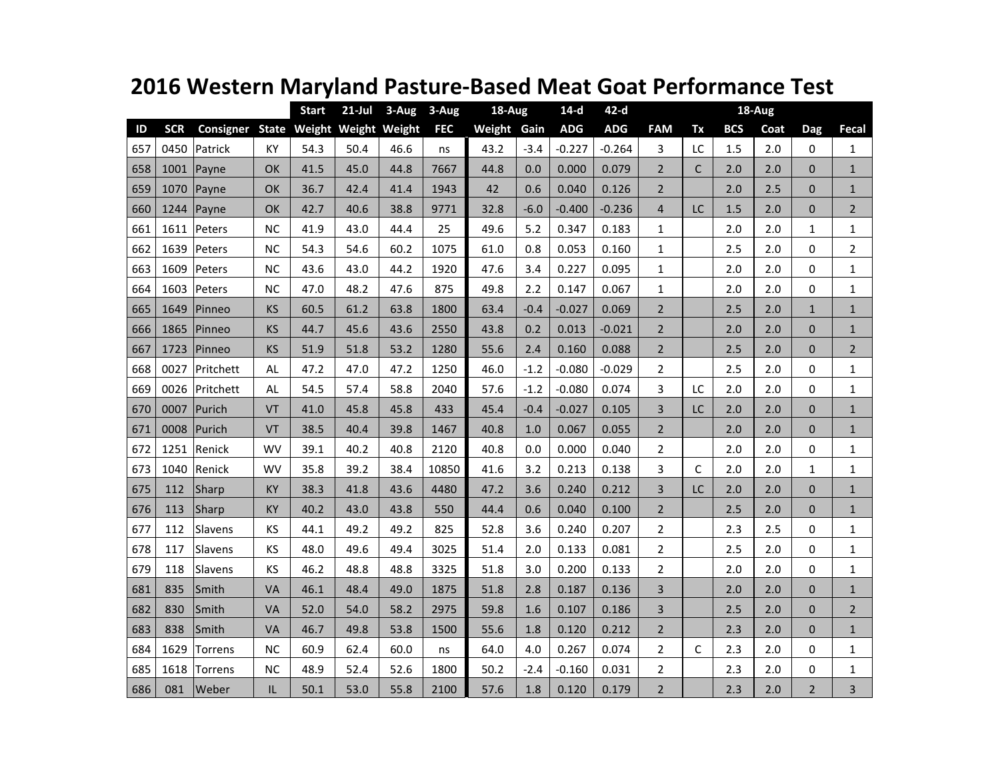|     |            |                                      |           | <b>Start</b> | $21$ -Jul | 3-Aug | 3-Aug      | 18-Aug      |        | $14-d$     | $42-d$     |                |    |            |      |                |                |
|-----|------------|--------------------------------------|-----------|--------------|-----------|-------|------------|-------------|--------|------------|------------|----------------|----|------------|------|----------------|----------------|
| ID  | <b>SCR</b> | Consigner State Weight Weight Weight |           |              |           |       | <b>FEC</b> | Weight Gain |        | <b>ADG</b> | <b>ADG</b> | <b>FAM</b>     | Tx | <b>BCS</b> | Coat | Dag            | Fecal          |
| 657 | 0450       | Patrick                              | KY        | 54.3         | 50.4      | 46.6  | ns         | 43.2        | -3.4   | $-0.227$   | $-0.264$   | 3              | LC | 1.5        | 2.0  | 0              | $\mathbf{1}$   |
| 658 | 1001       | Payne                                | OK        | 41.5         | 45.0      | 44.8  | 7667       | 44.8        | 0.0    | 0.000      | 0.079      | 2              | C  | 2.0        | 2.0  | $\Omega$       | $\mathbf{1}$   |
| 659 | 1070       | Payne                                | <b>OK</b> | 36.7         | 42.4      | 41.4  | 1943       | 42          | 0.6    | 0.040      | 0.126      | $\overline{2}$ |    | 2.0        | 2.5  | $\Omega$       | $\mathbf{1}$   |
| 660 | 1244       | Payne                                | <b>OK</b> | 42.7         | 40.6      | 38.8  | 9771       | 32.8        | $-6.0$ | $-0.400$   | $-0.236$   | $\overline{4}$ | LC | 1.5        | 2.0  | $\Omega$       | $\overline{2}$ |
| 661 | 1611       | Peters                               | <b>NC</b> | 41.9         | 43.0      | 44.4  | 25         | 49.6        | 5.2    | 0.347      | 0.183      | $\mathbf{1}$   |    | 2.0        | 2.0  | 1              | $\mathbf{1}$   |
| 662 | 1639       | Peters                               | <b>NC</b> | 54.3         | 54.6      | 60.2  | 1075       | 61.0        | 0.8    | 0.053      | 0.160      | 1              |    | 2.5        | 2.0  | 0              | $\overline{2}$ |
| 663 | 1609       | Peters                               | <b>NC</b> | 43.6         | 43.0      | 44.2  | 1920       | 47.6        | 3.4    | 0.227      | 0.095      | $\mathbf{1}$   |    | 2.0        | 2.0  | 0              | $\mathbf{1}$   |
| 664 | 1603       | Peters                               | <b>NC</b> | 47.0         | 48.2      | 47.6  | 875        | 49.8        | 2.2    | 0.147      | 0.067      | 1              |    | 2.0        | 2.0  | 0              | $\mathbf{1}$   |
| 665 | 1649       | Pinneo                               | KS        | 60.5         | 61.2      | 63.8  | 1800       | 63.4        | $-0.4$ | $-0.027$   | 0.069      | $\overline{2}$ |    | 2.5        | 2.0  | $\mathbf{1}$   | $\mathbf{1}$   |
| 666 | 1865       | Pinneo                               | KS        | 44.7         | 45.6      | 43.6  | 2550       | 43.8        | 0.2    | 0.013      | $-0.021$   | $\overline{2}$ |    | 2.0        | 2.0  | 0              | $\mathbf{1}$   |
| 667 | 1723       | Pinneo                               | KS        | 51.9         | 51.8      | 53.2  | 1280       | 55.6        | 2.4    | 0.160      | 0.088      | $\overline{2}$ |    | 2.5        | 2.0  | $\Omega$       | $\overline{2}$ |
| 668 | 0027       | Pritchett                            | <b>AL</b> | 47.2         | 47.0      | 47.2  | 1250       | 46.0        | $-1.2$ | $-0.080$   | $-0.029$   | $\overline{2}$ |    | 2.5        | 2.0  | 0              | $\mathbf{1}$   |
| 669 | 0026       | Pritchett                            | AL        | 54.5         | 57.4      | 58.8  | 2040       | 57.6        | $-1.2$ | $-0.080$   | 0.074      | 3              | LC | 2.0        | 2.0  | 0              | $\mathbf{1}$   |
| 670 | 0007       | Purich                               | VT        | 41.0         | 45.8      | 45.8  | 433        | 45.4        | $-0.4$ | $-0.027$   | 0.105      | 3              | LC | 2.0        | 2.0  | $\overline{0}$ | $\mathbf{1}$   |
| 671 | 0008       | Purich                               | <b>VT</b> | 38.5         | 40.4      | 39.8  | 1467       | 40.8        | 1.0    | 0.067      | 0.055      | $\overline{2}$ |    | 2.0        | 2.0  | $\Omega$       | $\mathbf{1}$   |
| 672 | 1251       | Renick                               | WV        | 39.1         | 40.2      | 40.8  | 2120       | 40.8        | 0.0    | 0.000      | 0.040      | 2              |    | 2.0        | 2.0  | $\Omega$       | $\mathbf{1}$   |
| 673 | 1040       | Renick                               | WV        | 35.8         | 39.2      | 38.4  | 10850      | 41.6        | 3.2    | 0.213      | 0.138      | 3              | C  | 2.0        | 2.0  | 1              | $\mathbf{1}$   |
| 675 | 112        | Sharp                                | KY        | 38.3         | 41.8      | 43.6  | 4480       | 47.2        | 3.6    | 0.240      | 0.212      | 3              | LC | 2.0        | 2.0  | $\Omega$       | $\mathbf{1}$   |
| 676 | 113        | Sharp                                | KY        | 40.2         | 43.0      | 43.8  | 550        | 44.4        | 0.6    | 0.040      | 0.100      | $\overline{2}$ |    | 2.5        | 2.0  | $\Omega$       | $\mathbf{1}$   |
| 677 | 112        | Slavens                              | KS        | 44.1         | 49.2      | 49.2  | 825        | 52.8        | 3.6    | 0.240      | 0.207      | $\overline{2}$ |    | 2.3        | 2.5  | 0              | $\mathbf{1}$   |
| 678 | 117        | Slavens                              | KS        | 48.0         | 49.6      | 49.4  | 3025       | 51.4        | 2.0    | 0.133      | 0.081      | $\overline{2}$ |    | 2.5        | 2.0  | 0              | $\mathbf{1}$   |
| 679 | 118        | Slavens                              | KS        | 46.2         | 48.8      | 48.8  | 3325       | 51.8        | 3.0    | 0.200      | 0.133      | $\overline{2}$ |    | 2.0        | 2.0  | 0              | $\mathbf{1}$   |
| 681 | 835        | Smith                                | VA        | 46.1         | 48.4      | 49.0  | 1875       | 51.8        | 2.8    | 0.187      | 0.136      | 3              |    | 2.0        | 2.0  | $\Omega$       | $\mathbf{1}$   |
| 682 | 830        | Smith                                | VA        | 52.0         | 54.0      | 58.2  | 2975       | 59.8        | 1.6    | 0.107      | 0.186      | 3              |    | 2.5        | 2.0  | $\Omega$       | $\overline{2}$ |
| 683 | 838        | Smith                                | VA        | 46.7         | 49.8      | 53.8  | 1500       | 55.6        | 1.8    | 0.120      | 0.212      | $\overline{2}$ |    | 2.3        | 2.0  | $\Omega$       | $\mathbf{1}$   |
| 684 | 1629       | <b>Torrens</b>                       | <b>NC</b> | 60.9         | 62.4      | 60.0  | ns         | 64.0        | 4.0    | 0.267      | 0.074      | $\overline{2}$ | C  | 2.3        | 2.0  | 0              | $\mathbf{1}$   |
| 685 | 1618       | <b>Torrens</b>                       | <b>NC</b> | 48.9         | 52.4      | 52.6  | 1800       | 50.2        | -2.4   | $-0.160$   | 0.031      | $\overline{2}$ |    | 2.3        | 2.0  | 0              | $\mathbf{1}$   |
| 686 | 081        | Weber                                | IL        | 50.1         | 53.0      | 55.8  | 2100       | 57.6        | 1.8    | 0.120      | 0.179      | $\overline{2}$ |    | 2.3        | 2.0  | $\overline{2}$ | 3              |